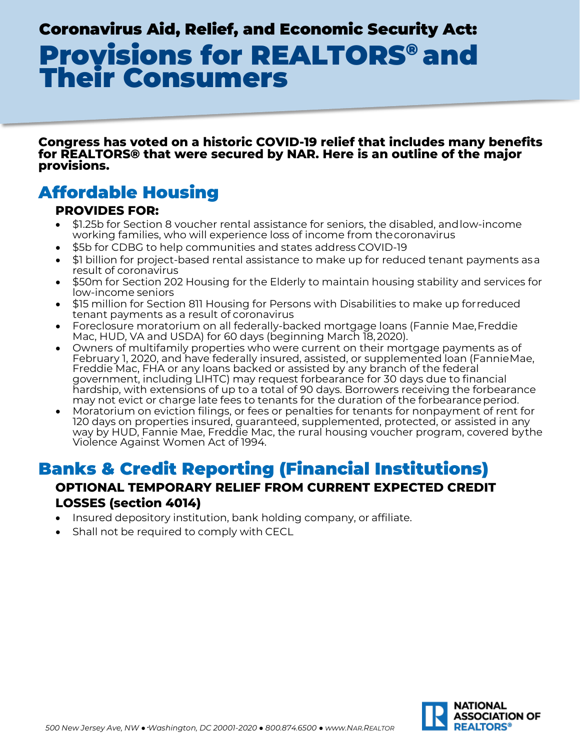# Coronavirus Aid, Relief, and Economic Security Act: Provisions for REALTORS® and Their Consumers

**Congress has voted on a historic COVID-19 relief that includes many benefits for REALTORS® that were secured by NAR. Here is an outline of the major provisions.**

# Affordable Housing

### **PROVIDES FOR:**

- \$1.25b for Section 8 voucher rental assistance for seniors, the disabled, andlow-income working families, who will experience loss of income from thecoronavirus
- \$5b for CDBG to help communities and states address COVID-19
- \$1 billion for project-based rental assistance to make up for reduced tenant payments asa result of coronavirus
- \$50m for Section 202 Housing for the Elderly to maintain housing stability and services for low-income seniors
- \$15 million for Section 811 Housing for Persons with Disabilities to make up forreduced tenant payments as a result of coronavirus
- Foreclosure moratorium on all federally-backed mortgage loans (Fannie Mae,Freddie Mac, HUD, VA and USDA) for 60 days (beginning March 18, 2020).
- Owners of multifamily properties who were current on their mortgage payments as of February 1, 2020, and have federally insured, assisted, or supplemented loan (FannieMae, Freddie Mac, FHA or any loans backed or assisted by any branch of the federal government, including LIHTC) may request forbearance for 30 days due to financial hardship, with extensions of up to a total of 90 days. Borrowers receiving the forbearance may not evict or charge late fees to tenants for the duration of the forbearance period.
- Moratorium on eviction filings, or fees or penalties for tenants for nonpayment of rent for 120 days on properties insured, guaranteed, supplemented, protected, or assisted in any way by HUD, Fannie Mae, Freddie Mac, the rural housing voucher program, covered bythe Violence Against Women Act of 1994.

# Banks & Credit Reporting (Financial Institutions)

# **OPTIONAL TEMPORARY RELIEF FROM CURRENT EXPECTED CREDIT LOSSES (section 4014)**

- Insured depository institution, bank holding company, or affiliate.
- Shall not be required to comply with CECL

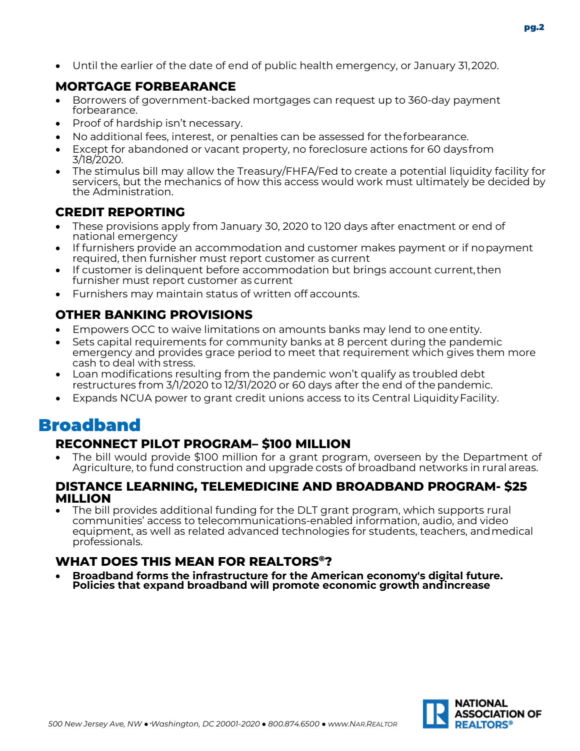• Until the earlier of the date of end of public health emergency, or January 31,2020.

# **MORTGAGE FORBEARANCE**

- Borrowers of government-backed mortgages can request up to 360-day payment forbearance.
- Proof of hardship isn't necessary.
- No additional fees, interest, or penalties can be assessed for theforbearance.
- Except for abandoned or vacant property, no foreclosure actions for 60 daysfrom 3/18/2020.
- The stimulus bill may allow the Treasury/FHFA/Fed to create a potential liquidity facility for servicers, but the mechanics of how this access would work must ultimately be decided by the Administration.

### **CREDIT REPORTING**

- These provisions apply from January 30, 2020 to 120 days after enactment or end of national emergency
- If furnishers provide an accommodation and customer makes payment or if nopayment required, then furnisher must report customer as current
- If customer is delinquent before accommodation but brings account current, then furnisher must report customer as current
- Furnishers may maintain status of written off accounts.

# **OTHER BANKING PROVISIONS**

- Empowers OCC to waive limitations on amounts banks may lend to one entity.
- Sets capital requirements for community banks at 8 percent during the pandemic emergency and provides grace period to meet that requirement which gives them more cash to deal with stress.
- Loan modifications resulting from the pandemic won't qualify as troubled debt restructures from 3/1/2020 to 12/31/2020 or 60 days after the end of the pandemic.
- Expands NCUA power to grant credit unions access to its Central Liquidity Facility.

# Broadband

# **RECONNECT PILOT PROGRAM– \$100 MILLION**

• The bill would provide \$100 million for a grant program, overseen by the Department of Agriculture, to fund construction and upgrade costs of broadband networks in rural areas.

#### **DISTANCE LEARNING, TELEMEDICINE AND BROADBAND PROGRAM- \$25 MILLION**

• The bill provides additional funding for the DLT grant program, which supports rural communities' access to telecommunications-enabled information, audio, and video equipment, as well as related advanced technologies for students, teachers, andmedical professionals.

### **WHAT DOES THIS MEAN FOR REALTORS®?**

• **Broadband forms the infrastructure for the American economy's digital future. Policies that expand broadband will promote economic growth andincrease**

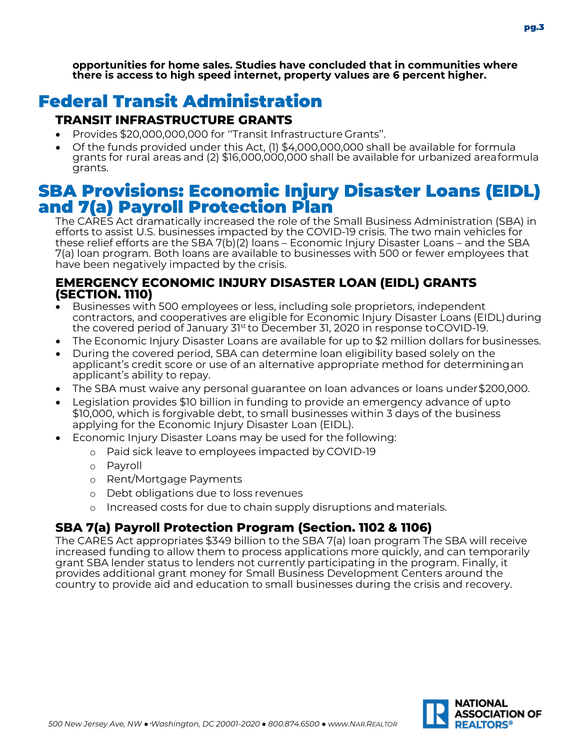**opportunities for home sales. Studies have concluded that in communities where there is access to high speed internet, property values are 6 percent higher.**

# Federal Transit Administration

# **TRANSIT INFRASTRUCTURE GRANTS**

- Provides \$20,000,000,000 for ''Transit Infrastructure Grants''.
- Of the funds provided under this Act, (1) \$4,000,000,000 shall be available for formula grants for rural areas and (2) \$16,000,000,000 shall be available for urbanized areaformula grants.

# SBA Provisions: Economic Injury Disaster Loans (EIDL) and 7(a) Payroll Protection Plan

The CARES Act dramatically increased the role of the Small Business Administration (SBA) in efforts to assist U.S. businesses impacted by the COVID-19 crisis. The two main vehicles for these relief efforts are the SBA 7(b)(2) loans – Economic Injury Disaster Loans – and the SBA 7(a) loan program. Both loans are available to businesses with 500 or fewer employees that have been negatively impacted by the crisis.

### **EMERGENCY ECONOMIC INJURY DISASTER LOAN (EIDL) GRANTS (SECTION. 1110)**

- Businesses with 500 employees or less, including sole proprietors, independent contractors, and cooperatives are eligible for Economic Injury Disaster Loans (EIDL)during the covered period of January 31st to December 31, 2020 in response toCOVID-19.
- The Economic Injury Disaster Loans are available for up to \$2 million dollars for businesses.
- During the covered period, SBA can determine loan eligibility based solely on the applicant's credit score or use of an alternative appropriate method for determiningan applicant's ability to repay.
- The SBA must waive any personal guarantee on loan advances or loans under\$200,000.
- Legislation provides \$10 billion in funding to provide an emergency advance of upto \$10,000, which is forgivable debt, to small businesses within 3 days of the business applying for the Economic Injury Disaster Loan (EIDL).
- Economic Injury Disaster Loans may be used for the following:
	- o Paid sick leave to employees impacted by COVID-19
	- o Payroll
	- o Rent/Mortgage Payments
	- o Debt obligations due to loss revenues
	- o Increased costs for due to chain supply disruptions andmaterials.

# **SBA 7(a) Payroll Protection Program (Section. 1102 & 1106)**

The CARES Act appropriates \$349 billion to the SBA 7(a) loan program The SBA will receive increased funding to allow them to process applications more quickly, and can temporarily grant SBA lender status to lenders not currently participating in the program. Finally, it provides additional grant money for Small Business Development Centers around the country to provide aid and education to small businesses during the crisis and recovery.

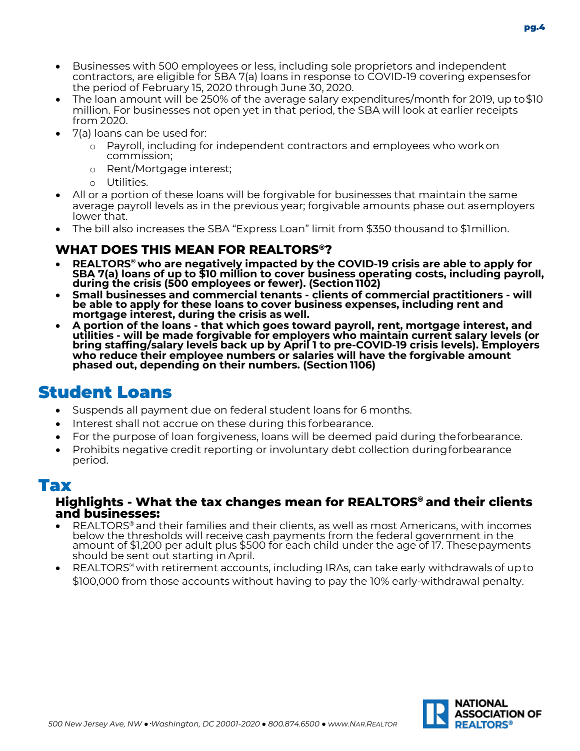

- Businesses with 500 employees or less, including sole proprietors and independent contractors, are eligible for SBA 7(a) loans in response to COVID-19 covering expensesfor the period of February 15, 2020 through June 30, 2020.
- The loan amount will be 250% of the average salary expenditures/month for 2019, up to\$10 million. For businesses not open yet in that period, the SBA will look at earlier receipts from 2020.
- 7(a) loans can be used for:
	- o Payroll, including for independent contractors and employees who workon commission;
	- o Rent/Mortgage interest;
	- o Utilities.
- All or a portion of these loans will be forgivable for businesses that maintain the same average payroll levels as in the previous year; forgivable amounts phase out asemployers lower that.
- The bill also increases the SBA "Express Loan" limit from \$350 thousand to \$1million.

### **WHAT DOES THIS MEAN FOR REALTORS®?**

- REALTORS<sup>®</sup> who are negatively impacted by the COVID-19 crisis are able to apply for<br>SBA 7(a) loans of up to \$10 million to cover business operating costs, including payroll, **during the crisis (500 employees or fewer). (Section1102)**
- **Small businesses and commercial tenants - clients of commercial practitioners - will be able to apply for these loans to cover business expenses, including rent and mortgage interest, during the crisis as well.**
- A portion of the loans that which goes toward payroll, rent, mortgage interest, and<br>utilities will be made forgivable for employers who maintain current salary levels (or<br>bring staffing/salary levels back up by April 1 **phased out, depending on their numbers. (Section 1106)**

# Student Loans

- Suspends all payment due on federal student loans for 6 months.
- Interest shall not accrue on these during this forbearance.
- For the purpose of loan forgiveness, loans will be deemed paid during theforbearance.
- Prohibits negative credit reporting or involuntary debt collection duringforbearance period.

# Tax

#### **Highlights - What the tax changes mean for REALTORS® and their clients and businesses:**

- REALTORS<sup>®</sup> and their families and their clients, as well as most Americans, with incomes below the thresholds will receive cash payments from the federal government in the amount of \$1,200 per adult plus \$500 for each child under the age of 17. Thesepayments should be sent out starting in April.
- REALTORS® with retirement accounts, including IRAs, can take early withdrawals of upto \$100,000 from those accounts without having to pay the 10% early-withdrawal penalty.

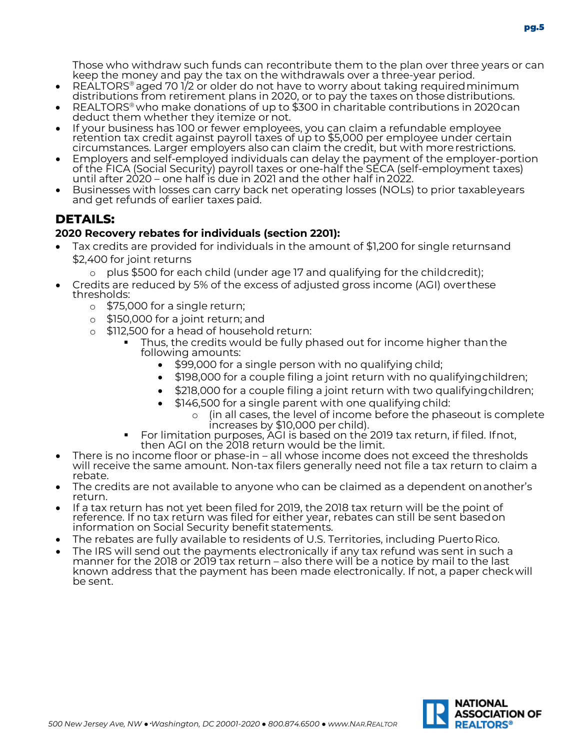Those who withdraw such funds can recontribute them to the plan over three years or can keep the money and pay the tax on the withdrawals over a three-year period.

- REALTORS<sup>®</sup> aged 70 1/2 or older do not have to worry about taking required minimum distributions from retirement plans in 2020, or to pay the taxes on thosedistributions.
- REALTORS® who make donations of up to \$300 in charitable contributions in 2020can deduct them whether they itemize or not.
- If your business has 100 or fewer employees, you can claim a refundable employee retention tax credit against payroll taxes of up to \$5,000 per employee under certain circumstances. Larger employers also can claim the credit, but with morerestrictions.
- Employers and self-employed individuals can delay the payment of the employer-portion of the FICA (Social Security) payroll taxes or one-half the SECA (self-employment taxes) until after 2020 – one half is due in 2021 and the other half in2022.
- Businesses with losses can carry back net operating losses (NOLs) to prior taxableyears and get refunds of earlier taxes paid.

# **DETAILS:**

#### **2020 Recovery rebates for individuals (section 2201):**

- Tax credits are provided for individuals in the amount of \$1,200 for single returnsand \$2,400 for joint returns
	- $\circ$  plus \$500 for each child (under age 17 and qualifying for the childcredit);
- Credits are reduced by 5% of the excess of adjusted gross income (AGI) overthese thresholds:
	- o \$75,000 for a single return;
	- o \$150,000 for a joint return; and
	- o \$112,500 for a head of household return:
		- Thus, the credits would be fully phased out for income higher thanthe following amounts:
			- \$99,000 for a single person with no qualifying child;
			- \$198,000 for a couple filing a joint return with no qualifyingchildren;
			- \$218,000 for a couple filing a joint return with two qualifyingchildren;
			- \$146,500 for a single parent with one qualifying child:
			- o (in all cases, the level of income before the phaseout is complete<br>increases by \$10,000 per child).<br>For limitation purposes, AGI is based on the 2019 tax return, if filed. Ifnot,
		- then AGI on the 2018 return would be the limit.
- There is no income floor or phase-in all whose income does not exceed the thresholds will receive the same amount. Non-tax filers generally need not file a tax return to claim a rebate.
- The credits are not available to anyone who can be claimed as a dependent onanother's return.
- If a tax return has not yet been filed for 2019, the 2018 tax return will be the point of reference. If no tax return was filed for either year, rebates can still be sent basedon information on Social Security benefit statements.
- The rebates are fully available to residents of U.S. Territories, including Puerto Rico.
- The IRS will send out the payments electronically if any tax refund was sent in such a manner for the 2018 or 2019 tax return – also there will be a notice by mail to the last known address that the payment has been made electronically. If not, a paper checkwill be sent.

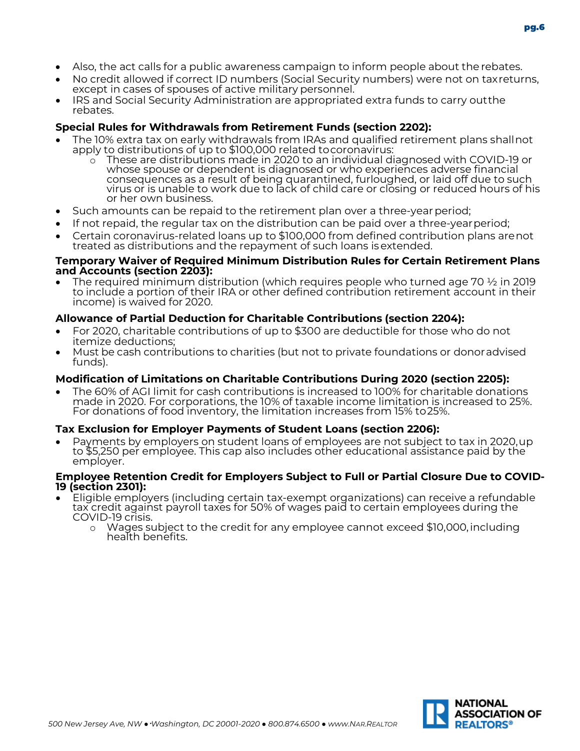- Also, the act calls for a public awareness campaign to inform people about the rebates.
- No credit allowed if correct ID numbers (Social Security numbers) were not on taxreturns, except in cases of spouses of active military personnel.
- IRS and Social Security Administration are appropriated extra funds to carry outthe rebates.

#### **Special Rules for Withdrawals from Retirement Funds (section 2202):**

- The 10% extra tax on early withdrawals from IRAs and qualified retirement plans shallnot apply to distributions of up to \$100,000 related tocoronavirus:
	- o These are distributions made in 2020 to an individual diagnosed with COVID-19 or whose spouse or dependent is diagnosed or who experiences adverse financial consequences as a result of being quarantined, furloughed, or laid off due to such virus or is unable to work due to lack of child care or closing or reduced hours of his or her own business.
- Such amounts can be repaid to the retirement plan over a three-yearperiod;
- If not repaid, the regular tax on the distribution can be paid over a three-yearperiod;
- Certain coronavirus-related loans up to \$100,000 from defined contribution plans arenot treated as distributions and the repayment of such loans isextended.

#### **Temporary Waiver of Required Minimum Distribution Rules for Certain Retirement Plans and Accounts (section 2203):**

• The required minimum distribution (which requires people who turned age 70  $\frac{1}{2}$  in 2019 to include a portion of their IRA or other defined contribution retirement account in their income) is waived for 2020.

#### **Allowance of Partial Deduction for Charitable Contributions (section 2204):**

- For 2020, charitable contributions of up to \$300 are deductible for those who do not itemize deductions;
- Must be cash contributions to charities (but not to private foundations or donoradvised funds).

#### **Modification of Limitations on Charitable Contributions During 2020 (section 2205):**

• The 60% of AGI limit for cash contributions is increased to 100% for charitable donations made in 2020. For corporations, the 10% of taxable income limitation is increased to 25%. For donations of food inventory, the limitation increases from 15% to25%.

#### **Tax Exclusion for Employer Payments of Student Loans (section 2206):**

Payments by employers on student loans of employees are not subject to tax in 2020,up<br>to \$5,250 per employee. This cap also includes other educational assistance paid by the employer.

# **Employee Retention Credit for Employers Subject to Full or Partial Closure Due to COVID- 19 (section 2301):**

- Eligible employers (including certain tax-exempt organizations) can receive a refundable<br>tax credit against payroll taxes for 50% of wages paid to certain employees during the COVID-19 crisis.
	- <sup>o</sup> Wages subject to the credit for any employee cannot exceed \$10,000,including health benefits.

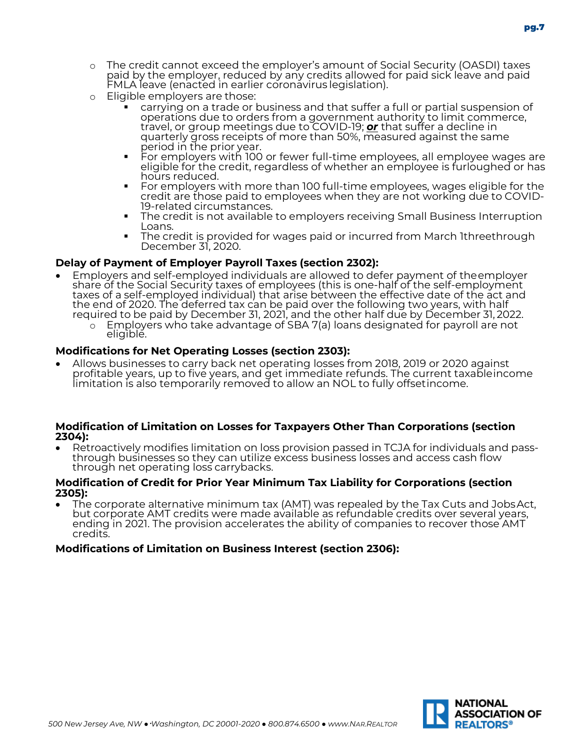- o The credit cannot exceed the employer's amount of Social Security (OASDI) taxes paid by the employer, reduced by any credits allowed for paid sick leave and paid<br>FMLA leave (enacted in earlier coronavirus legislation).
- o Eligible employers are those:
	- carrying on a trade or business and that suffer a full or partial suspension of operations due to orders from a government authority to limit commerce, travel, or group meetings due to COVID-19; *or* that suffer a decline in quarterly gross receipts of more than 50%, measured against the same<br>period in the prior year.
	- **•** For employers with 100 or fewer full-time employees, all employee wages are eligible for the credit, regardless of whether an employee is furloughed or has<br>hours reduced.
	- For employers with more than 100 full-time employees, wages eligible for the credit are those paid to employees when they are not working due to COVID- 19-related circumstances. The credit is not available to employers receiving Small Business Interruption
	- Loans. The credit is provided for wages paid or incurred from March 1threethrough
	- December 31, 2020.

#### **Delay of Payment of Employer Payroll Taxes (section 2302):**

- Employers and self-employed individuals are allowed to defer payment of the employer share of the Social Security taxes of employees (this is one-half of the self-employment taxes of a self-employed individual) that arise
	- o Employers who take advantage of SBA 7(a) loans designated for payroll are not eligible.

#### **Modifications for Net Operating Losses (section 2303):**

• Allows businesses to carry back net operating losses from 2018, 2019 or 2020 against profitable years, up to five years, and get immediate refunds. The current taxableincome limitation is also temporarily removed to allow an NOL to fully offsetincome.

#### **Modification of Limitation on Losses for Taxpayers Other Than Corporations (section 2304):**

• Retroactively modifies limitation on loss provision passed in TCJA for individuals and pass- through businesses so they can utilize excess business losses and access cash flow through net operating loss carrybacks.

#### **Modification of Credit for Prior Year Minimum Tax Liability for Corporations (section 2305):**

• The corporate alternative minimum tax (AMT) was repealed by the Tax Cuts and JobsAct, but corporate AMT credits were made available as refundable credits over several years, ending in 2021. The provision accelerates the ability of companies to recover those AMT credits.

#### **Modifications of Limitation on Business Interest (section 2306):**

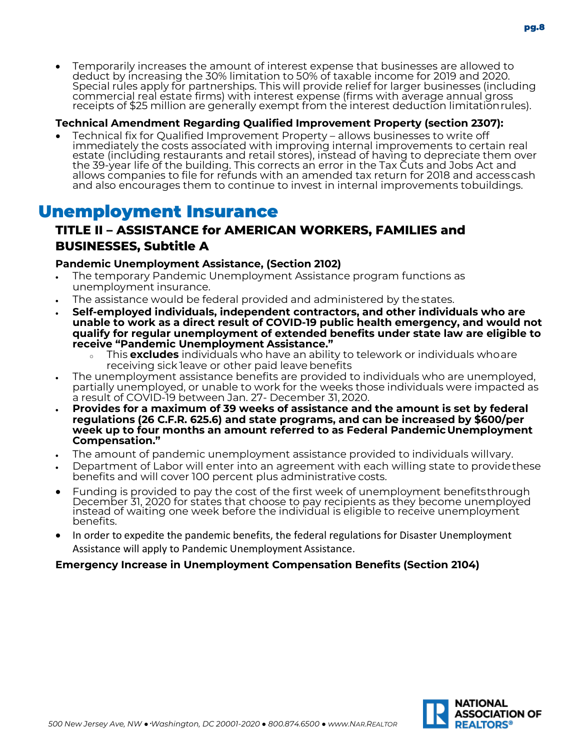• Temporarily increases the amount of interest expense that businesses are allowed to deduct by increasing the 30% limitation to 50% of taxable income for 2019 and 2020. Special rules apply for partnerships. This will provide relief for larger businesses (including commercial real estate firms) with interest expense (firms with average annual gross

#### **Technical Amendment Regarding Qualified Improvement Property (section 2307):**

• Technical fix for Qualified Improvement Property – allows businesses to write off immediately the costs associated with improving internal improvements to certain real estate (including restaurants and retail stores), instead of having to depreciate them over the 39-year life of the building. This corrects an error in the Tax Cuts and Jobs Act and allows companies to file for refunds with an amended tax return for 2018 and accesscash and also encourages them to continue to invest in internal improvements tobuildings.

receipts of \$25 million are generally exempt from the interest deduction limitationrules).

# Unemployment Insurance

# **TITLE II – ASSISTANCE for AMERICAN WORKERS, FAMILIES and BUSINESSES, Subtitle A**

#### **Pandemic Unemployment Assistance, (Section 2102)**

- The temporary Pandemic Unemployment Assistance program functions as unemployment insurance.
- The assistance would be federal provided and administered by the states.
- **Self-employed individuals, independent contractors, and other individuals who are unable to work as a direct result of COVID-19 public health emergency, and would not qualify for regular unemployment of extended benefits under state law are eligible to receive "Pandemic Unemployment Assistance."**
	- <sup>o</sup> This **excludes** individuals who have an ability to telework or individuals whoare receiving sick leave or other paid leave benefits
- The unemployment assistance benefits are provided to individuals who are unemployed, partially unemployed, or unable to work for the weeks those individuals were impacted as a result of COVID-19 between Jan. 27- December 31, 2020.
- **Provides for a maximum of 39 weeks of assistance and the amount is set by federal regulations (26 C.F.R. 625.6) and state programs, and can be increased by \$600/per week up to four months an amount referred to as Federal PandemicUnemployment Compensation."**
- The amount of pandemic unemployment assistance provided to individuals willvary.
- Department of Labor will enter into an agreement with each willing state to providethese benefits and will cover 100 percent plus administrative costs.
- Funding is provided to pay the cost of the first week of unemployment benefitsthrough December 31, 2020 for states that choose to pay recipients as they become unemployed instead of waiting one week before the individual is eligible to receive unemployment benefits.
- In order to expedite the pandemic benefits, the federal regulations for Disaster Unemployment Assistance will apply to Pandemic Unemployment Assistance.

#### **Emergency Increase in Unemployment Compensation Benefits (Section 2104)**